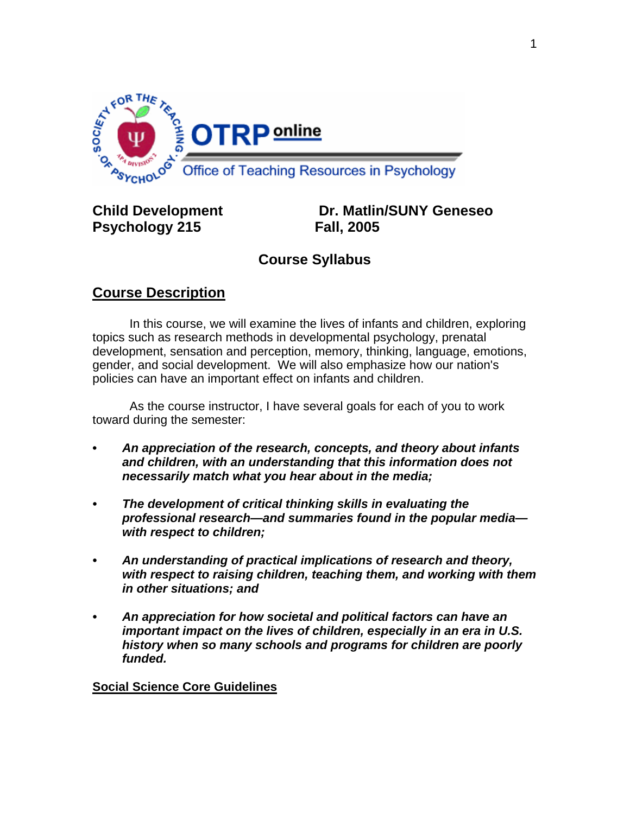

# Psychology 215 Fall, 2005

**Child Development Dr. Matlin/SUNY Geneseo** 

# **Course Syllabus**

## **Course Description**

In this course, we will examine the lives of infants and children, exploring topics such as research methods in developmental psychology, prenatal development, sensation and perception, memory, thinking, language, emotions, gender, and social development. We will also emphasize how our nation's policies can have an important effect on infants and children.

 As the course instructor, I have several goals for each of you to work toward during the semester:

- **•** *An appreciation of the research, concepts, and theory about infants and children, with an understanding that this information does not necessarily match what you hear about in the media;*
- *The development of critical thinking skills in evaluating the professional research—and summaries found in the popular media with respect to children;*
- *An understanding of practical implications of research and theory, with respect to raising children, teaching them, and working with them in other situations; and*
- *An appreciation for how societal and political factors can have an important impact on the lives of children, especially in an era in U.S. history when so many schools and programs for children are poorly funded.*

#### **Social Science Core Guidelines**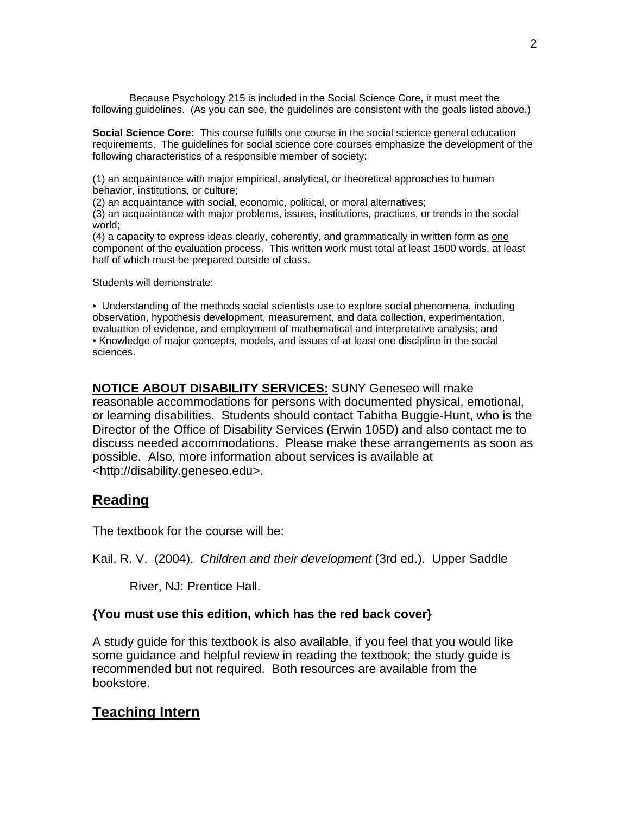Because Psychology 215 is included in the Social Science Core, it must meet the following guidelines. (As you can see, the guidelines are consistent with the goals listed above.)

**Social Science Core:** This course fulfills one course in the social science general education requirements. The guidelines for social science core courses emphasize the development of the following characteristics of a responsible member of society:

(1) an acquaintance with major empirical, analytical, or theoretical approaches to human behavior, institutions, or culture;

(2) an acquaintance with social, economic, political, or moral alternatives;

(3) an acquaintance with major problems, issues, institutions, practices, or trends in the social world;

(4) a capacity to express ideas clearly, coherently, and grammatically in written form as one component of the evaluation process. This written work must total at least 1500 words, at least half of which must be prepared outside of class.

Students will demonstrate:

• Understanding of the methods social scientists use to explore social phenomena, including observation, hypothesis development, measurement, and data collection, experimentation, evaluation of evidence, and employment of mathematical and interpretative analysis; and • Knowledge of major concepts, models, and issues of at least one discipline in the social sciences.

**NOTICE ABOUT DISABILITY SERVICES:** SUNY Geneseo will make reasonable accommodations for persons with documented physical, emotional, or learning disabilities. Students should contact Tabitha Buggie-Hunt, who is the Director of the Office of Disability Services (Erwin 105D) and also contact me to discuss needed accommodations. Please make these arrangements as soon as possible. Also, more information about services is available at <http://disability.geneseo.edu>.

#### **Reading**

The textbook for the course will be:

Kail, R. V. (2004). *Children and their development* (3rd ed.). Upper Saddle

River, NJ: Prentice Hall.

#### **{You must use this edition, which has the red back cover}**

A study guide for this textbook is also available, if you feel that you would like some guidance and helpful review in reading the textbook; the study guide is recommended but not required. Both resources are available from the bookstore.

#### **Teaching Intern**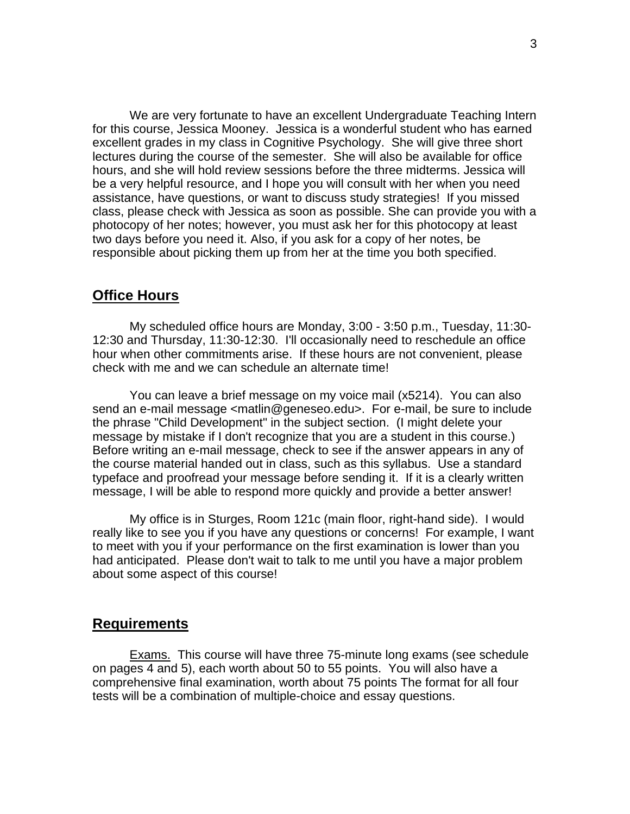We are very fortunate to have an excellent Undergraduate Teaching Intern for this course, Jessica Mooney. Jessica is a wonderful student who has earned excellent grades in my class in Cognitive Psychology. She will give three short lectures during the course of the semester. She will also be available for office hours, and she will hold review sessions before the three midterms. Jessica will be a very helpful resource, and I hope you will consult with her when you need assistance, have questions, or want to discuss study strategies! If you missed class, please check with Jessica as soon as possible. She can provide you with a photocopy of her notes; however, you must ask her for this photocopy at least two days before you need it. Also, if you ask for a copy of her notes, be responsible about picking them up from her at the time you both specified.

#### **Office Hours**

My scheduled office hours are Monday, 3:00 - 3:50 p.m., Tuesday, 11:30- 12:30 and Thursday, 11:30-12:30. I'll occasionally need to reschedule an office hour when other commitments arise. If these hours are not convenient, please check with me and we can schedule an alternate time!

 You can leave a brief message on my voice mail (x5214). You can also send an e-mail message <matlin@geneseo.edu>. For e-mail, be sure to include the phrase "Child Development" in the subject section. (I might delete your message by mistake if I don't recognize that you are a student in this course.) Before writing an e-mail message, check to see if the answer appears in any of the course material handed out in class, such as this syllabus. Use a standard typeface and proofread your message before sending it. If it is a clearly written message, I will be able to respond more quickly and provide a better answer!

 My office is in Sturges, Room 121c (main floor, right-hand side). I would really like to see you if you have any questions or concerns! For example, I want to meet with you if your performance on the first examination is lower than you had anticipated. Please don't wait to talk to me until you have a major problem about some aspect of this course!

#### **Requirements**

**Exams.** This course will have three 75-minute long exams (see schedule on pages 4 and 5), each worth about 50 to 55 points. You will also have a comprehensive final examination, worth about 75 points The format for all four tests will be a combination of multiple-choice and essay questions.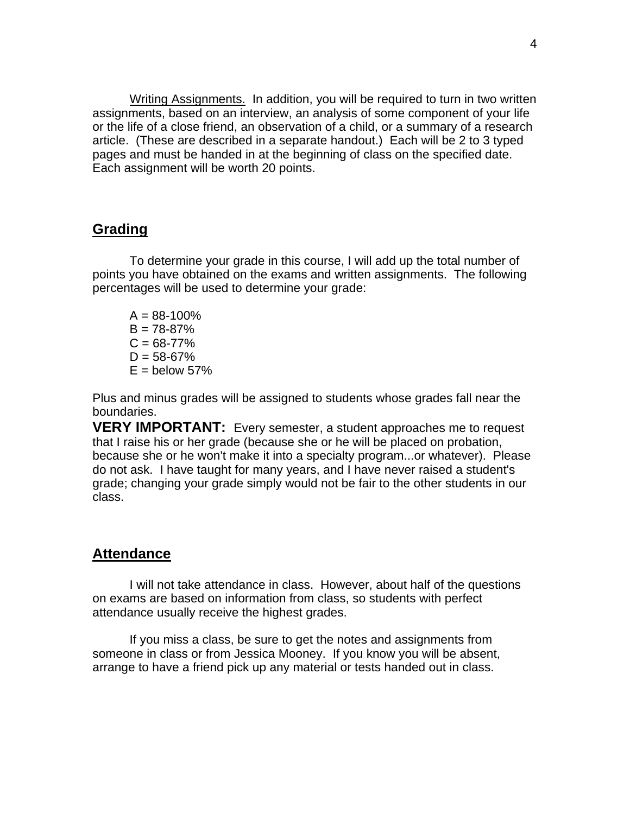Writing Assignments. In addition, you will be required to turn in two written assignments, based on an interview, an analysis of some component of your life or the life of a close friend, an observation of a child, or a summary of a research article. (These are described in a separate handout.) Each will be 2 to 3 typed pages and must be handed in at the beginning of class on the specified date. Each assignment will be worth 20 points.

#### **Grading**

 To determine your grade in this course, I will add up the total number of points you have obtained on the exams and written assignments. The following percentages will be used to determine your grade:

 $A = 88 - 100\%$  $B = 78 - 87%$  $C = 68 - 77\%$  $D = 58 - 67%$  $E =$  below 57%

Plus and minus grades will be assigned to students whose grades fall near the boundaries.

**VERY IMPORTANT:** Every semester, a student approaches me to request that I raise his or her grade (because she or he will be placed on probation, because she or he won't make it into a specialty program...or whatever). Please do not ask. I have taught for many years, and I have never raised a student's grade; changing your grade simply would not be fair to the other students in our class.

#### **Attendance**

 I will not take attendance in class. However, about half of the questions on exams are based on information from class, so students with perfect attendance usually receive the highest grades.

 If you miss a class, be sure to get the notes and assignments from someone in class or from Jessica Mooney. If you know you will be absent, arrange to have a friend pick up any material or tests handed out in class.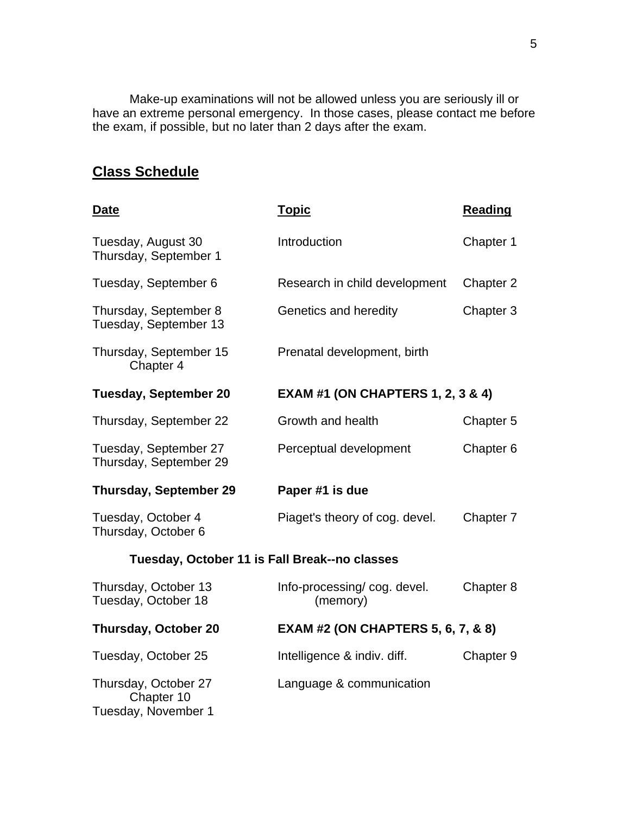Make-up examinations will not be allowed unless you are seriously ill or have an extreme personal emergency. In those cases, please contact me before the exam, if possible, but no later than 2 days after the exam.

# **Class Schedule**

| <b>Date</b>                                               | <b>Topic</b>                                  | <b>Reading</b> |
|-----------------------------------------------------------|-----------------------------------------------|----------------|
| Tuesday, August 30<br>Thursday, September 1               | Introduction                                  | Chapter 1      |
| Tuesday, September 6                                      | Research in child development                 | Chapter 2      |
| Thursday, September 8<br>Tuesday, September 13            | Genetics and heredity                         | Chapter 3      |
| Thursday, September 15<br>Chapter 4                       | Prenatal development, birth                   |                |
| <b>Tuesday, September 20</b>                              | <b>EXAM #1 (ON CHAPTERS 1, 2, 3 &amp; 4)</b>  |                |
| Thursday, September 22                                    | Growth and health                             | Chapter 5      |
| Tuesday, September 27<br>Thursday, September 29           | Perceptual development                        | Chapter 6      |
| <b>Thursday, September 29</b>                             | Paper #1 is due                               |                |
| Tuesday, October 4<br>Thursday, October 6                 | Piaget's theory of cog. devel.                | Chapter 7      |
| Tuesday, October 11 is Fall Break--no classes             |                                               |                |
| Thursday, October 13<br>Tuesday, October 18               | Info-processing/cog. devel.<br>(memory)       | Chapter 8      |
| <b>Thursday, October 20</b>                               | <b>EXAM #2 (ON CHAPTERS 5, 6, 7, &amp; 8)</b> |                |
| Tuesday, October 25                                       | Intelligence & indiv. diff.                   | Chapter 9      |
| Thursday, October 27<br>Chapter 10<br>Tuesday, November 1 | Language & communication                      |                |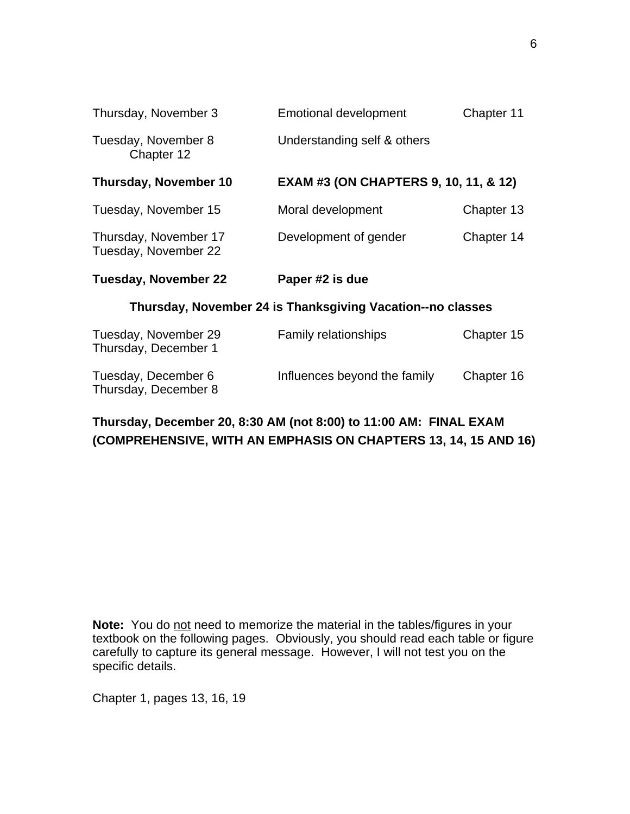| Thursday, November 3                          | <b>Emotional development</b>                               | Chapter 11 |
|-----------------------------------------------|------------------------------------------------------------|------------|
| Tuesday, November 8<br>Chapter 12             | Understanding self & others                                |            |
| <b>Thursday, November 10</b>                  | <b>EXAM #3 (ON CHAPTERS 9, 10, 11, &amp; 12)</b>           |            |
| Tuesday, November 15                          | Moral development                                          | Chapter 13 |
| Thursday, November 17<br>Tuesday, November 22 | Development of gender                                      | Chapter 14 |
|                                               |                                                            |            |
|                                               | Paper #2 is due                                            |            |
| <b>Tuesday, November 22</b>                   | Thursday, November 24 is Thanksgiving Vacation--no classes |            |
| Tuesday, November 29<br>Thursday, December 1  | <b>Family relationships</b>                                | Chapter 15 |

### **Thursday, December 20, 8:30 AM (not 8:00) to 11:00 AM: FINAL EXAM (COMPREHENSIVE, WITH AN EMPHASIS ON CHAPTERS 13, 14, 15 AND 16)**

**Note:** You do not need to memorize the material in the tables/figures in your textbook on the following pages. Obviously, you should read each table or figure carefully to capture its general message. However, I will not test you on the specific details.

Chapter 1, pages 13, 16, 19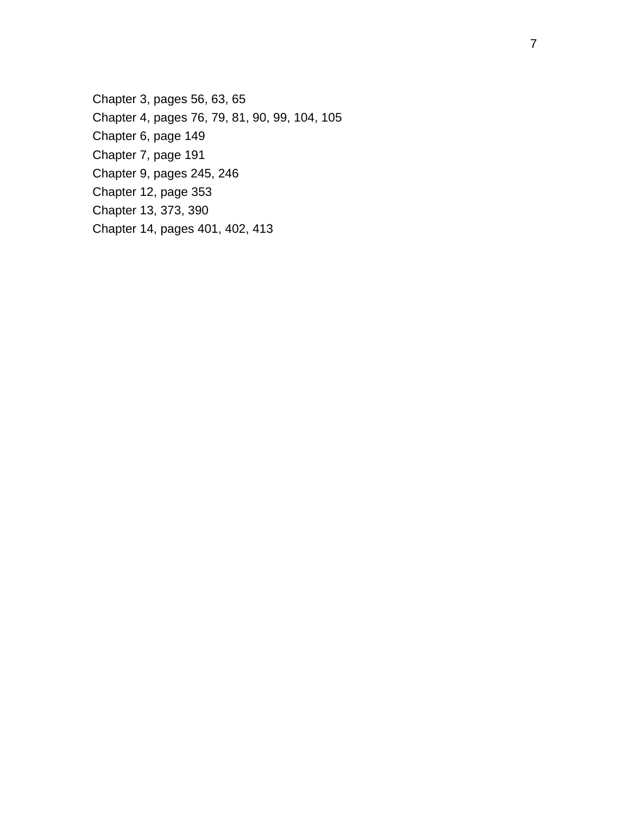Chapter 3, pages 56, 63, 65 Chapter 4, pages 76, 79, 81, 90, 99, 104, 105 Chapter 6, page 149 Chapter 7, page 191 Chapter 9, pages 245, 246 Chapter 12, page 353 Chapter 13, 373, 390 Chapter 14, pages 401, 402, 413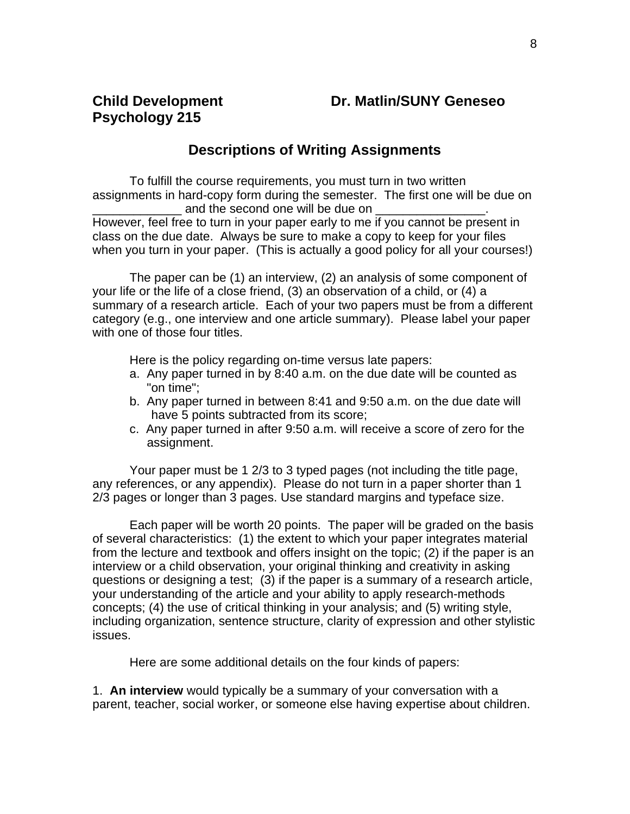#### **Descriptions of Writing Assignments**

 To fulfill the course requirements, you must turn in two written assignments in hard-copy form during the semester. The first one will be due on and the second one will be due on

However, feel free to turn in your paper early to me if you cannot be present in class on the due date. Always be sure to make a copy to keep for your files when you turn in your paper. (This is actually a good policy for all your courses!)

 The paper can be (1) an interview, (2) an analysis of some component of your life or the life of a close friend, (3) an observation of a child, or (4) a summary of a research article. Each of your two papers must be from a different category (e.g., one interview and one article summary). Please label your paper with one of those four titles.

Here is the policy regarding on-time versus late papers:

- a. Any paper turned in by 8:40 a.m. on the due date will be counted as "on time";
- b. Any paper turned in between 8:41 and 9:50 a.m. on the due date will have 5 points subtracted from its score;
- c. Any paper turned in after 9:50 a.m. will receive a score of zero for the assignment.

 Your paper must be 1 2/3 to 3 typed pages (not including the title page, any references, or any appendix). Please do not turn in a paper shorter than 1 2/3 pages or longer than 3 pages. Use standard margins and typeface size.

 Each paper will be worth 20 points. The paper will be graded on the basis of several characteristics: (1) the extent to which your paper integrates material from the lecture and textbook and offers insight on the topic; (2) if the paper is an interview or a child observation, your original thinking and creativity in asking questions or designing a test; (3) if the paper is a summary of a research article, your understanding of the article and your ability to apply research-methods concepts; (4) the use of critical thinking in your analysis; and (5) writing style, including organization, sentence structure, clarity of expression and other stylistic issues.

Here are some additional details on the four kinds of papers:

1. **An interview** would typically be a summary of your conversation with a parent, teacher, social worker, or someone else having expertise about children.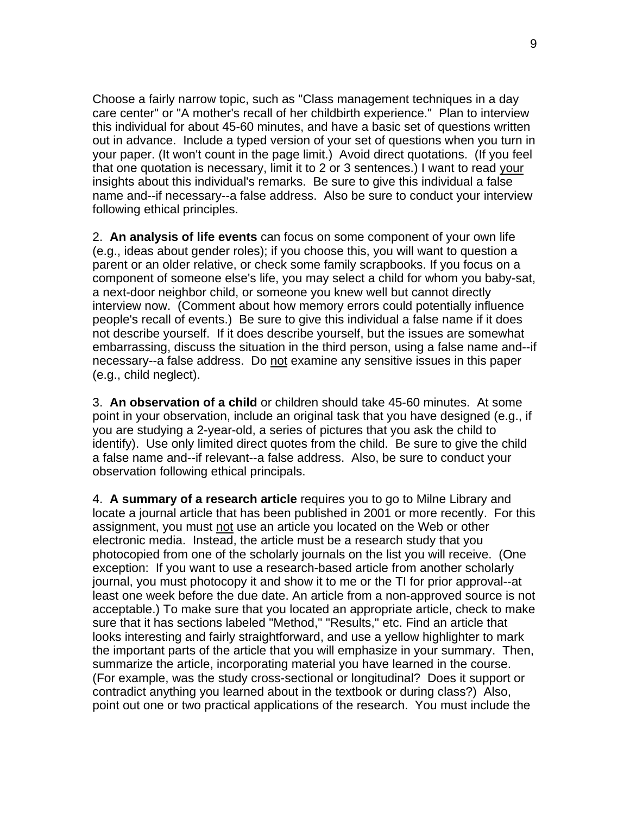Choose a fairly narrow topic, such as "Class management techniques in a day care center" or "A mother's recall of her childbirth experience." Plan to interview this individual for about 45-60 minutes, and have a basic set of questions written out in advance. Include a typed version of your set of questions when you turn in your paper. (It won't count in the page limit.) Avoid direct quotations. (If you feel that one quotation is necessary, limit it to 2 or 3 sentences.) I want to read your insights about this individual's remarks. Be sure to give this individual a false name and--if necessary--a false address. Also be sure to conduct your interview following ethical principles.

2. **An analysis of life events** can focus on some component of your own life (e.g., ideas about gender roles); if you choose this, you will want to question a parent or an older relative, or check some family scrapbooks. If you focus on a component of someone else's life, you may select a child for whom you baby-sat, a next-door neighbor child, or someone you knew well but cannot directly interview now. (Comment about how memory errors could potentially influence people's recall of events.) Be sure to give this individual a false name if it does not describe yourself. If it does describe yourself, but the issues are somewhat embarrassing, discuss the situation in the third person, using a false name and--if necessary--a false address. Do not examine any sensitive issues in this paper (e.g., child neglect).

3. **An observation of a child** or children should take 45-60 minutes. At some point in your observation, include an original task that you have designed (e.g., if you are studying a 2-year-old, a series of pictures that you ask the child to identify). Use only limited direct quotes from the child. Be sure to give the child a false name and--if relevant--a false address. Also, be sure to conduct your observation following ethical principals.

4. **A summary of a research article** requires you to go to Milne Library and locate a journal article that has been published in 2001 or more recently. For this assignment, you must not use an article you located on the Web or other electronic media. Instead, the article must be a research study that you photocopied from one of the scholarly journals on the list you will receive. (One exception: If you want to use a research-based article from another scholarly journal, you must photocopy it and show it to me or the TI for prior approval--at least one week before the due date. An article from a non-approved source is not acceptable.) To make sure that you located an appropriate article, check to make sure that it has sections labeled "Method," "Results," etc. Find an article that looks interesting and fairly straightforward, and use a yellow highlighter to mark the important parts of the article that you will emphasize in your summary. Then, summarize the article, incorporating material you have learned in the course. (For example, was the study cross-sectional or longitudinal? Does it support or contradict anything you learned about in the textbook or during class?) Also, point out one or two practical applications of the research. You must include the